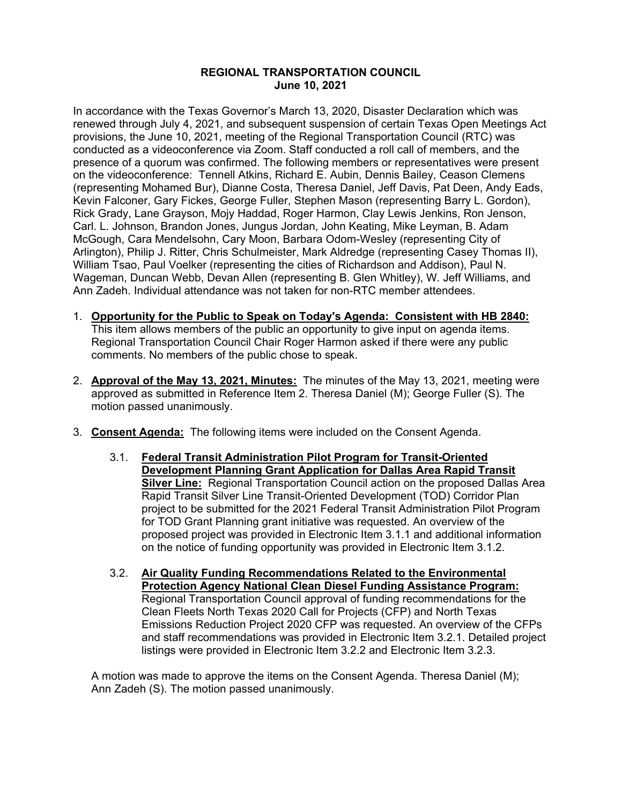## **REGIONAL TRANSPORTATION COUNCIL June 10, 2021**

In accordance with the Texas Governor's March 13, 2020, Disaster Declaration which was renewed through July 4, 2021, and subsequent suspension of certain Texas Open Meetings Act provisions, the June 10, 2021, meeting of the Regional Transportation Council (RTC) was conducted as a videoconference via Zoom. Staff conducted a roll call of members, and the presence of a quorum was confirmed. The following members or representatives were present on the videoconference: Tennell Atkins, Richard E. Aubin, Dennis Bailey, Ceason Clemens (representing Mohamed Bur), Dianne Costa, Theresa Daniel, Jeff Davis, Pat Deen, Andy Eads, Kevin Falconer, Gary Fickes, George Fuller, Stephen Mason (representing Barry L. Gordon), Rick Grady, Lane Grayson, Mojy Haddad, Roger Harmon, Clay Lewis Jenkins, Ron Jenson, Carl. L. Johnson, Brandon Jones, Jungus Jordan, John Keating, Mike Leyman, B. Adam McGough, Cara Mendelsohn, Cary Moon, Barbara Odom-Wesley (representing City of Arlington), Philip J. Ritter, Chris Schulmeister, Mark Aldredge (representing Casey Thomas II), William Tsao, Paul Voelker (representing the cities of Richardson and Addison), Paul N. Wageman, Duncan Webb, Devan Allen (representing B. Glen Whitley), W. Jeff Williams, and Ann Zadeh. Individual attendance was not taken for non-RTC member attendees.

- 1. **Opportunity for the Public to Speak on Today's Agenda: Consistent with HB 2840:** This item allows members of the public an opportunity to give input on agenda items. Regional Transportation Council Chair Roger Harmon asked if there were any public comments. No members of the public chose to speak.
- 2. **Approval of the May 13, 2021, Minutes:** The minutes of the May 13, 2021, meeting were approved as submitted in Reference Item 2. Theresa Daniel (M); George Fuller (S). The motion passed unanimously.
- 3. **Consent Agenda:** The following items were included on the Consent Agenda.
	- 3.1. **Federal Transit Administration Pilot Program for Transit-Oriented Development Planning Grant Application for Dallas Area Rapid Transit Silver Line:** Regional Transportation Council action on the proposed Dallas Area Rapid Transit Silver Line Transit-Oriented Development (TOD) Corridor Plan project to be submitted for the 2021 Federal Transit Administration Pilot Program for TOD Grant Planning grant initiative was requested. An overview of the proposed project was provided in Electronic Item 3.1.1 and additional information on the notice of funding opportunity was provided in Electronic Item 3.1.2.
	- 3.2. **Air Quality Funding Recommendations Related to the Environmental Protection Agency National Clean Diesel Funding Assistance Program:** Regional Transportation Council approval of funding recommendations for the Clean Fleets North Texas 2020 Call for Projects (CFP) and North Texas Emissions Reduction Project 2020 CFP was requested. An overview of the CFPs and staff recommendations was provided in Electronic Item 3.2.1. Detailed project listings were provided in Electronic Item 3.2.2 and Electronic Item 3.2.3.

A motion was made to approve the items on the Consent Agenda. Theresa Daniel (M); Ann Zadeh (S). The motion passed unanimously.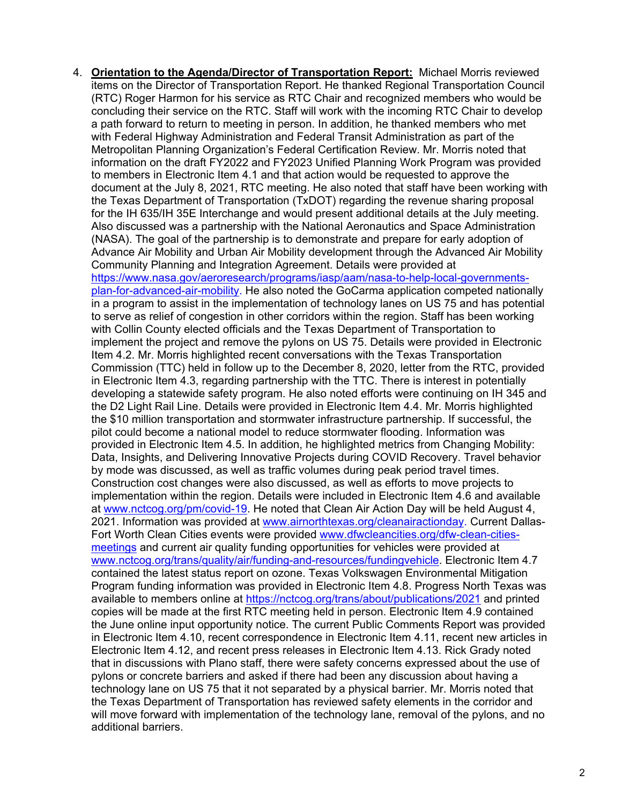4. **Orientation to the Agenda/Director of Transportation Report:** Michael Morris reviewed items on the Director of Transportation Report. He thanked Regional Transportation Council (RTC) Roger Harmon for his service as RTC Chair and recognized members who would be concluding their service on the RTC. Staff will work with the incoming RTC Chair to develop a path forward to return to meeting in person. In addition, he thanked members who met with Federal Highway Administration and Federal Transit Administration as part of the Metropolitan Planning Organization's Federal Certification Review. Mr. Morris noted that information on the draft FY2022 and FY2023 Unified Planning Work Program was provided to members in Electronic Item 4.1 and that action would be requested to approve the document at the July 8, 2021, RTC meeting. He also noted that staff have been working with the Texas Department of Transportation (TxDOT) regarding the revenue sharing proposal for the IH 635/IH 35E Interchange and would present additional details at the July meeting. Also discussed was a partnership with the National Aeronautics and Space Administration (NASA). The goal of the partnership is to demonstrate and prepare for early adoption of Advance Air Mobility and Urban Air Mobility development through the Advanced Air Mobility Community Planning and Integration Agreement. Details were provided at [https://www.nasa.gov/aeroresearch/programs/iasp/aam/nasa-to-help-local-governments](https://www.nasa.gov/aeroresearch/programs/iasp/aam/nasa-to-help-local-governments-plan-for-advanced-air-mobility)[plan-for-advanced-air-mobility.](https://www.nasa.gov/aeroresearch/programs/iasp/aam/nasa-to-help-local-governments-plan-for-advanced-air-mobility) He also noted the GoCarma application competed nationally in a program to assist in the implementation of technology lanes on US 75 and has potential to serve as relief of congestion in other corridors within the region. Staff has been working with Collin County elected officials and the Texas Department of Transportation to implement the project and remove the pylons on US 75. Details were provided in Electronic Item 4.2. Mr. Morris highlighted recent conversations with the Texas Transportation Commission (TTC) held in follow up to the December 8, 2020, letter from the RTC, provided in Electronic Item 4.3, regarding partnership with the TTC. There is interest in potentially developing a statewide safety program. He also noted efforts were continuing on IH 345 and the D2 Light Rail Line. Details were provided in Electronic Item 4.4. Mr. Morris highlighted the \$10 million transportation and stormwater infrastructure partnership. If successful, the pilot could become a national model to reduce stormwater flooding. Information was provided in Electronic Item 4.5. In addition, he highlighted metrics from Changing Mobility: Data, Insights, and Delivering Innovative Projects during COVID Recovery. Travel behavior by mode was discussed, as well as traffic volumes during peak period travel times. Construction cost changes were also discussed, as well as efforts to move projects to implementation within the region. Details were included in Electronic Item 4.6 and available at [www.nctcog.org/pm/covid-19.](http://www.nctcog.org/pm/covid-19) He noted that Clean Air Action Day will be held August 4, 2021. Information was provided at [www.airnorthtexas.org/cleanairactionday.](http://www.airnorthtexas.org/cleanairactionday) Current Dallas-Fort Worth Clean Cities events were provided [www.dfwcleancities.org/dfw-clean-cities](http://www.dfwcleancities.org/dfw-clean-cities-meetings)[meetings](http://www.dfwcleancities.org/dfw-clean-cities-meetings) and current air quality funding opportunities for vehicles were provided at [www.nctcog.org/trans/quality/air/funding-and-resources/fundingvehicle.](http://www.nctcog.org/trans/quality/air/funding-and-resources/fundingvehicle) Electronic Item 4.7 contained the latest status report on ozone. Texas Volkswagen Environmental Mitigation Program funding information was provided in Electronic Item 4.8. Progress North Texas was available to members online at<https://nctcog.org/trans/about/publications/2021> and printed copies will be made at the first RTC meeting held in person. Electronic Item 4.9 contained the June online input opportunity notice. The current Public Comments Report was provided in Electronic Item 4.10, recent correspondence in Electronic Item 4.11, recent new articles in Electronic Item 4.12, and recent press releases in Electronic Item 4.13. Rick Grady noted that in discussions with Plano staff, there were safety concerns expressed about the use of pylons or concrete barriers and asked if there had been any discussion about having a technology lane on US 75 that it not separated by a physical barrier. Mr. Morris noted that the Texas Department of Transportation has reviewed safety elements in the corridor and will move forward with implementation of the technology lane, removal of the pylons, and no additional barriers.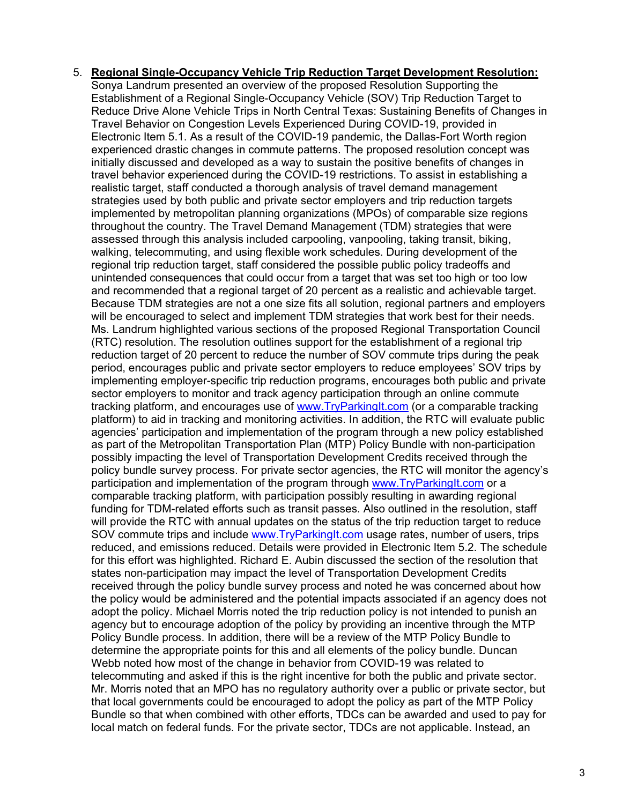5. **Regional Single-Occupancy Vehicle Trip Reduction Target Development Resolution:** Sonya Landrum presented an overview of the proposed Resolution Supporting the Establishment of a Regional Single-Occupancy Vehicle (SOV) Trip Reduction Target to Reduce Drive Alone Vehicle Trips in North Central Texas: Sustaining Benefits of Changes in Travel Behavior on Congestion Levels Experienced During COVID-19, provided in Electronic Item 5.1. As a result of the COVID-19 pandemic, the Dallas-Fort Worth region experienced drastic changes in commute patterns. The proposed resolution concept was initially discussed and developed as a way to sustain the positive benefits of changes in travel behavior experienced during the COVID-19 restrictions. To assist in establishing a realistic target, staff conducted a thorough analysis of travel demand management strategies used by both public and private sector employers and trip reduction targets implemented by metropolitan planning organizations (MPOs) of comparable size regions throughout the country. The Travel Demand Management (TDM) strategies that were assessed through this analysis included carpooling, vanpooling, taking transit, biking, walking, telecommuting, and using flexible work schedules. During development of the regional trip reduction target, staff considered the possible public policy tradeoffs and unintended consequences that could occur from a target that was set too high or too low and recommended that a regional target of 20 percent as a realistic and achievable target. Because TDM strategies are not a one size fits all solution, regional partners and employers will be encouraged to select and implement TDM strategies that work best for their needs. Ms. Landrum highlighted various sections of the proposed Regional Transportation Council (RTC) resolution. The resolution outlines support for the establishment of a regional trip reduction target of 20 percent to reduce the number of SOV commute trips during the peak period, encourages public and private sector employers to reduce employees' SOV trips by implementing employer-specific trip reduction programs, encourages both public and private sector employers to monitor and track agency participation through an online commute tracking platform, and encourages use of [www.TryParkingIt.com](http://www.tryparkingit.com/) (or a comparable tracking platform) to aid in tracking and monitoring activities. In addition, the RTC will evaluate public agencies' participation and implementation of the program through a new policy established as part of the Metropolitan Transportation Plan (MTP) Policy Bundle with non-participation possibly impacting the level of Transportation Development Credits received through the policy bundle survey process. For private sector agencies, the RTC will monitor the agency's participation and implementation of the program through [www.TryParkingIt.com](http://www.tryparkingit.com/) or a comparable tracking platform, with participation possibly resulting in awarding regional funding for TDM-related efforts such as transit passes. Also outlined in the resolution, staff will provide the RTC with annual updates on the status of the trip reduction target to reduce SOV commute trips and include [www.TryParkingIt.com](http://www.tryparkingit.com/) usage rates, number of users, trips reduced, and emissions reduced. Details were provided in Electronic Item 5.2. The schedule for this effort was highlighted. Richard E. Aubin discussed the section of the resolution that states non-participation may impact the level of Transportation Development Credits received through the policy bundle survey process and noted he was concerned about how the policy would be administered and the potential impacts associated if an agency does not adopt the policy. Michael Morris noted the trip reduction policy is not intended to punish an agency but to encourage adoption of the policy by providing an incentive through the MTP Policy Bundle process. In addition, there will be a review of the MTP Policy Bundle to determine the appropriate points for this and all elements of the policy bundle. Duncan Webb noted how most of the change in behavior from COVID-19 was related to telecommuting and asked if this is the right incentive for both the public and private sector. Mr. Morris noted that an MPO has no regulatory authority over a public or private sector, but that local governments could be encouraged to adopt the policy as part of the MTP Policy Bundle so that when combined with other efforts, TDCs can be awarded and used to pay for local match on federal funds. For the private sector, TDCs are not applicable. Instead, an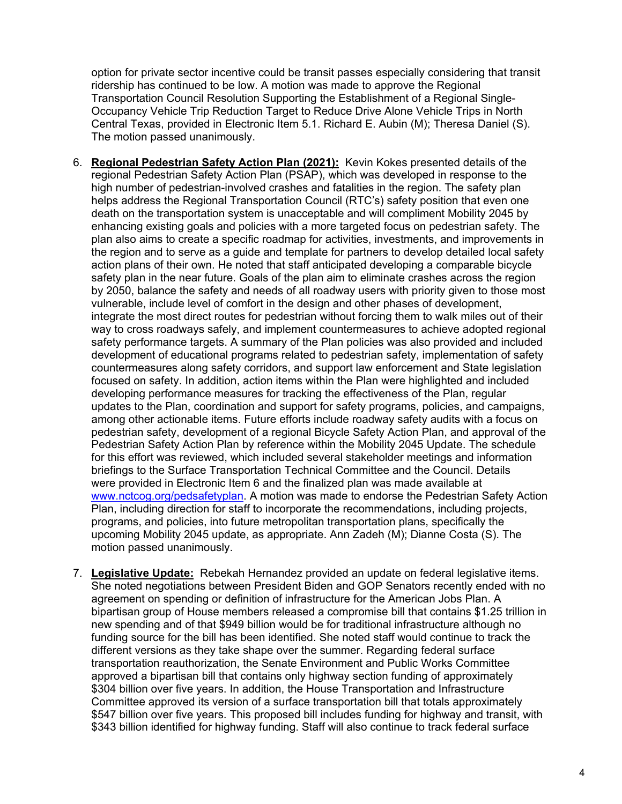option for private sector incentive could be transit passes especially considering that transit ridership has continued to be low. A motion was made to approve the Regional Transportation Council Resolution Supporting the Establishment of a Regional Single-Occupancy Vehicle Trip Reduction Target to Reduce Drive Alone Vehicle Trips in North Central Texas, provided in Electronic Item 5.1. Richard E. Aubin (M); Theresa Daniel (S). The motion passed unanimously.

- 6. **Regional Pedestrian Safety Action Plan (2021):** Kevin Kokes presented details of the regional Pedestrian Safety Action Plan (PSAP), which was developed in response to the high number of pedestrian-involved crashes and fatalities in the region. The safety plan helps address the Regional Transportation Council (RTC's) safety position that even one death on the transportation system is unacceptable and will compliment Mobility 2045 by enhancing existing goals and policies with a more targeted focus on pedestrian safety. The plan also aims to create a specific roadmap for activities, investments, and improvements in the region and to serve as a guide and template for partners to develop detailed local safety action plans of their own. He noted that staff anticipated developing a comparable bicycle safety plan in the near future. Goals of the plan aim to eliminate crashes across the region by 2050, balance the safety and needs of all roadway users with priority given to those most vulnerable, include level of comfort in the design and other phases of development, integrate the most direct routes for pedestrian without forcing them to walk miles out of their way to cross roadways safely, and implement countermeasures to achieve adopted regional safety performance targets. A summary of the Plan policies was also provided and included development of educational programs related to pedestrian safety, implementation of safety countermeasures along safety corridors, and support law enforcement and State legislation focused on safety. In addition, action items within the Plan were highlighted and included developing performance measures for tracking the effectiveness of the Plan, regular updates to the Plan, coordination and support for safety programs, policies, and campaigns, among other actionable items. Future efforts include roadway safety audits with a focus on pedestrian safety, development of a regional Bicycle Safety Action Plan, and approval of the Pedestrian Safety Action Plan by reference within the Mobility 2045 Update. The schedule for this effort was reviewed, which included several stakeholder meetings and information briefings to the Surface Transportation Technical Committee and the Council. Details were provided in Electronic Item 6 and the finalized plan was made available at [www.nctcog.org/pedsafetyplan.](http://www.nctcog.org/pedsafetyplan) A motion was made to endorse the Pedestrian Safety Action Plan, including direction for staff to incorporate the recommendations, including projects, programs, and policies, into future metropolitan transportation plans, specifically the upcoming Mobility 2045 update, as appropriate. Ann Zadeh (M); Dianne Costa (S). The motion passed unanimously.
- 7. **Legislative Update:** Rebekah Hernandez provided an update on federal legislative items. She noted negotiations between President Biden and GOP Senators recently ended with no agreement on spending or definition of infrastructure for the American Jobs Plan. A bipartisan group of House members released a compromise bill that contains \$1.25 trillion in new spending and of that \$949 billion would be for traditional infrastructure although no funding source for the bill has been identified. She noted staff would continue to track the different versions as they take shape over the summer. Regarding federal surface transportation reauthorization, the Senate Environment and Public Works Committee approved a bipartisan bill that contains only highway section funding of approximately \$304 billion over five years. In addition, the House Transportation and Infrastructure Committee approved its version of a surface transportation bill that totals approximately \$547 billion over five years. This proposed bill includes funding for highway and transit, with \$343 billion identified for highway funding. Staff will also continue to track federal surface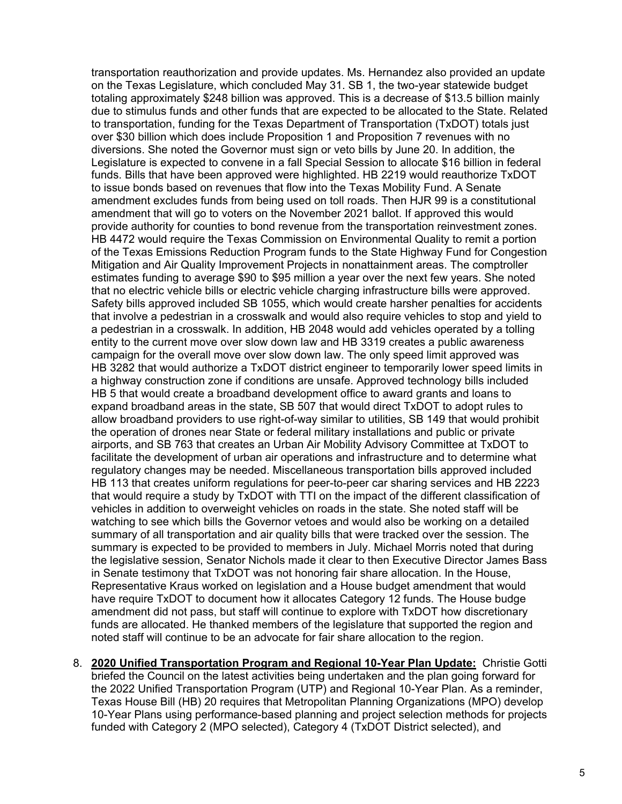transportation reauthorization and provide updates. Ms. Hernandez also provided an update on the Texas Legislature, which concluded May 31. SB 1, the two-year statewide budget totaling approximately \$248 billion was approved. This is a decrease of \$13.5 billion mainly due to stimulus funds and other funds that are expected to be allocated to the State. Related to transportation, funding for the Texas Department of Transportation (TxDOT) totals just over \$30 billion which does include Proposition 1 and Proposition 7 revenues with no diversions. She noted the Governor must sign or veto bills by June 20. In addition, the Legislature is expected to convene in a fall Special Session to allocate \$16 billion in federal funds. Bills that have been approved were highlighted. HB 2219 would reauthorize TxDOT to issue bonds based on revenues that flow into the Texas Mobility Fund. A Senate amendment excludes funds from being used on toll roads. Then HJR 99 is a constitutional amendment that will go to voters on the November 2021 ballot. If approved this would provide authority for counties to bond revenue from the transportation reinvestment zones. HB 4472 would require the Texas Commission on Environmental Quality to remit a portion of the Texas Emissions Reduction Program funds to the State Highway Fund for Congestion Mitigation and Air Quality Improvement Projects in nonattainment areas. The comptroller estimates funding to average \$90 to \$95 million a year over the next few years. She noted that no electric vehicle bills or electric vehicle charging infrastructure bills were approved. Safety bills approved included SB 1055, which would create harsher penalties for accidents that involve a pedestrian in a crosswalk and would also require vehicles to stop and yield to a pedestrian in a crosswalk. In addition, HB 2048 would add vehicles operated by a tolling entity to the current move over slow down law and HB 3319 creates a public awareness campaign for the overall move over slow down law. The only speed limit approved was HB 3282 that would authorize a TxDOT district engineer to temporarily lower speed limits in a highway construction zone if conditions are unsafe. Approved technology bills included HB 5 that would create a broadband development office to award grants and loans to expand broadband areas in the state, SB 507 that would direct TxDOT to adopt rules to allow broadband providers to use right-of-way similar to utilities, SB 149 that would prohibit the operation of drones near State or federal military installations and public or private airports, and SB 763 that creates an Urban Air Mobility Advisory Committee at TxDOT to facilitate the development of urban air operations and infrastructure and to determine what regulatory changes may be needed. Miscellaneous transportation bills approved included HB 113 that creates uniform regulations for peer-to-peer car sharing services and HB 2223 that would require a study by TxDOT with TTI on the impact of the different classification of vehicles in addition to overweight vehicles on roads in the state. She noted staff will be watching to see which bills the Governor vetoes and would also be working on a detailed summary of all transportation and air quality bills that were tracked over the session. The summary is expected to be provided to members in July. Michael Morris noted that during the legislative session, Senator Nichols made it clear to then Executive Director James Bass in Senate testimony that TxDOT was not honoring fair share allocation. In the House, Representative Kraus worked on legislation and a House budget amendment that would have require TxDOT to document how it allocates Category 12 funds. The House budge amendment did not pass, but staff will continue to explore with TxDOT how discretionary funds are allocated. He thanked members of the legislature that supported the region and noted staff will continue to be an advocate for fair share allocation to the region.

8. **2020 Unified Transportation Program and Regional 10-Year Plan Update:** Christie Gotti briefed the Council on the latest activities being undertaken and the plan going forward for the 2022 Unified Transportation Program (UTP) and Regional 10-Year Plan. As a reminder, Texas House Bill (HB) 20 requires that Metropolitan Planning Organizations (MPO) develop 10-Year Plans using performance-based planning and project selection methods for projects funded with Category 2 (MPO selected), Category 4 (TxDOT District selected), and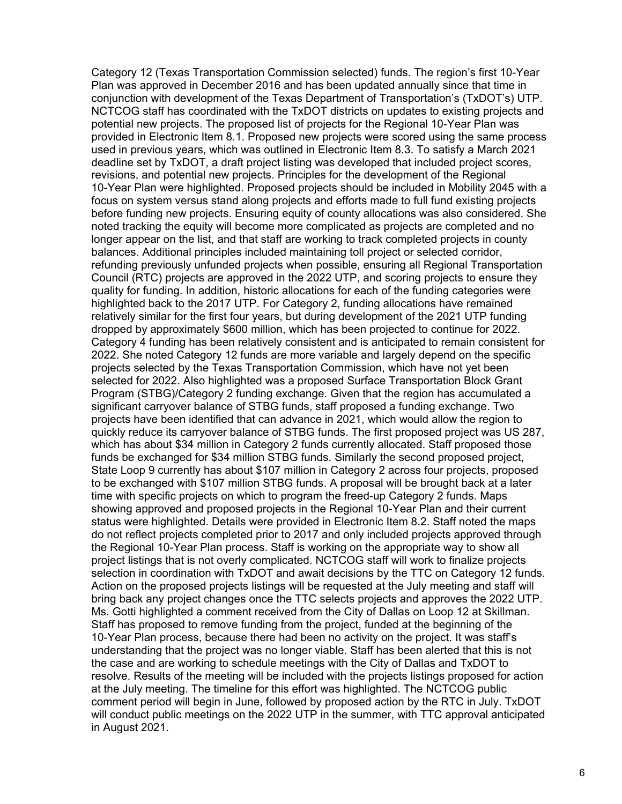Category 12 (Texas Transportation Commission selected) funds. The region's first 10-Year Plan was approved in December 2016 and has been updated annually since that time in conjunction with development of the Texas Department of Transportation's (TxDOT's) UTP. NCTCOG staff has coordinated with the TxDOT districts on updates to existing projects and potential new projects. The proposed list of projects for the Regional 10-Year Plan was provided in Electronic Item 8.1. Proposed new projects were scored using the same process used in previous years, which was outlined in Electronic Item 8.3. To satisfy a March 2021 deadline set by TxDOT, a draft project listing was developed that included project scores, revisions, and potential new projects. Principles for the development of the Regional 10-Year Plan were highlighted. Proposed projects should be included in Mobility 2045 with a focus on system versus stand along projects and efforts made to full fund existing projects before funding new projects. Ensuring equity of county allocations was also considered. She noted tracking the equity will become more complicated as projects are completed and no longer appear on the list, and that staff are working to track completed projects in county balances. Additional principles included maintaining toll project or selected corridor, refunding previously unfunded projects when possible, ensuring all Regional Transportation Council (RTC) projects are approved in the 2022 UTP, and scoring projects to ensure they quality for funding. In addition, historic allocations for each of the funding categories were highlighted back to the 2017 UTP. For Category 2, funding allocations have remained relatively similar for the first four years, but during development of the 2021 UTP funding dropped by approximately \$600 million, which has been projected to continue for 2022. Category 4 funding has been relatively consistent and is anticipated to remain consistent for 2022. She noted Category 12 funds are more variable and largely depend on the specific projects selected by the Texas Transportation Commission, which have not yet been selected for 2022. Also highlighted was a proposed Surface Transportation Block Grant Program (STBG)/Category 2 funding exchange. Given that the region has accumulated a significant carryover balance of STBG funds, staff proposed a funding exchange. Two projects have been identified that can advance in 2021, which would allow the region to quickly reduce its carryover balance of STBG funds. The first proposed project was US 287, which has about \$34 million in Category 2 funds currently allocated. Staff proposed those funds be exchanged for \$34 million STBG funds. Similarly the second proposed project, State Loop 9 currently has about \$107 million in Category 2 across four projects, proposed to be exchanged with \$107 million STBG funds. A proposal will be brought back at a later time with specific projects on which to program the freed-up Category 2 funds. Maps showing approved and proposed projects in the Regional 10-Year Plan and their current status were highlighted. Details were provided in Electronic Item 8.2. Staff noted the maps do not reflect projects completed prior to 2017 and only included projects approved through the Regional 10-Year Plan process. Staff is working on the appropriate way to show all project listings that is not overly complicated. NCTCOG staff will work to finalize projects selection in coordination with TxDOT and await decisions by the TTC on Category 12 funds. Action on the proposed projects listings will be requested at the July meeting and staff will bring back any project changes once the TTC selects projects and approves the 2022 UTP. Ms. Gotti highlighted a comment received from the City of Dallas on Loop 12 at Skillman. Staff has proposed to remove funding from the project, funded at the beginning of the 10-Year Plan process, because there had been no activity on the project. It was staff's understanding that the project was no longer viable. Staff has been alerted that this is not the case and are working to schedule meetings with the City of Dallas and TxDOT to resolve. Results of the meeting will be included with the projects listings proposed for action at the July meeting. The timeline for this effort was highlighted. The NCTCOG public comment period will begin in June, followed by proposed action by the RTC in July. TxDOT will conduct public meetings on the 2022 UTP in the summer, with TTC approval anticipated in August 2021.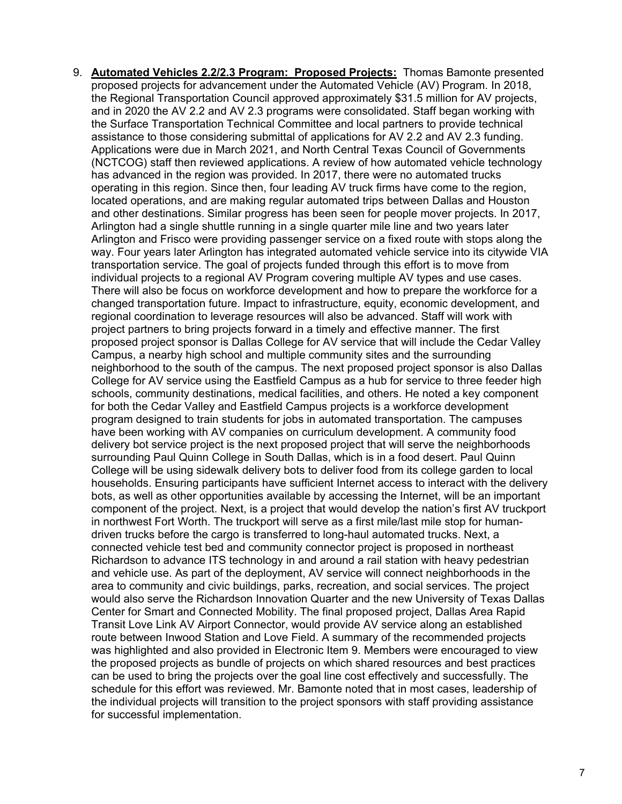9. **Automated Vehicles 2.2/2.3 Program: Proposed Projects:** Thomas Bamonte presented proposed projects for advancement under the Automated Vehicle (AV) Program. In 2018, the Regional Transportation Council approved approximately \$31.5 million for AV projects, and in 2020 the AV 2.2 and AV 2.3 programs were consolidated. Staff began working with the Surface Transportation Technical Committee and local partners to provide technical assistance to those considering submittal of applications for AV 2.2 and AV 2.3 funding. Applications were due in March 2021, and North Central Texas Council of Governments (NCTCOG) staff then reviewed applications. A review of how automated vehicle technology has advanced in the region was provided. In 2017, there were no automated trucks operating in this region. Since then, four leading AV truck firms have come to the region, located operations, and are making regular automated trips between Dallas and Houston and other destinations. Similar progress has been seen for people mover projects. In 2017, Arlington had a single shuttle running in a single quarter mile line and two years later Arlington and Frisco were providing passenger service on a fixed route with stops along the way. Four years later Arlington has integrated automated vehicle service into its citywide VIA transportation service. The goal of projects funded through this effort is to move from individual projects to a regional AV Program covering multiple AV types and use cases. There will also be focus on workforce development and how to prepare the workforce for a changed transportation future. Impact to infrastructure, equity, economic development, and regional coordination to leverage resources will also be advanced. Staff will work with project partners to bring projects forward in a timely and effective manner. The first proposed project sponsor is Dallas College for AV service that will include the Cedar Valley Campus, a nearby high school and multiple community sites and the surrounding neighborhood to the south of the campus. The next proposed project sponsor is also Dallas College for AV service using the Eastfield Campus as a hub for service to three feeder high schools, community destinations, medical facilities, and others. He noted a key component for both the Cedar Valley and Eastfield Campus projects is a workforce development program designed to train students for jobs in automated transportation. The campuses have been working with AV companies on curriculum development. A community food delivery bot service project is the next proposed project that will serve the neighborhoods surrounding Paul Quinn College in South Dallas, which is in a food desert. Paul Quinn College will be using sidewalk delivery bots to deliver food from its college garden to local households. Ensuring participants have sufficient Internet access to interact with the delivery bots, as well as other opportunities available by accessing the Internet, will be an important component of the project. Next, is a project that would develop the nation's first AV truckport in northwest Fort Worth. The truckport will serve as a first mile/last mile stop for humandriven trucks before the cargo is transferred to long-haul automated trucks. Next, a connected vehicle test bed and community connector project is proposed in northeast Richardson to advance ITS technology in and around a rail station with heavy pedestrian and vehicle use. As part of the deployment, AV service will connect neighborhoods in the area to community and civic buildings, parks, recreation, and social services. The project would also serve the Richardson Innovation Quarter and the new University of Texas Dallas Center for Smart and Connected Mobility. The final proposed project, Dallas Area Rapid Transit Love Link AV Airport Connector, would provide AV service along an established route between Inwood Station and Love Field. A summary of the recommended projects was highlighted and also provided in Electronic Item 9. Members were encouraged to view the proposed projects as bundle of projects on which shared resources and best practices can be used to bring the projects over the goal line cost effectively and successfully. The schedule for this effort was reviewed. Mr. Bamonte noted that in most cases, leadership of the individual projects will transition to the project sponsors with staff providing assistance for successful implementation.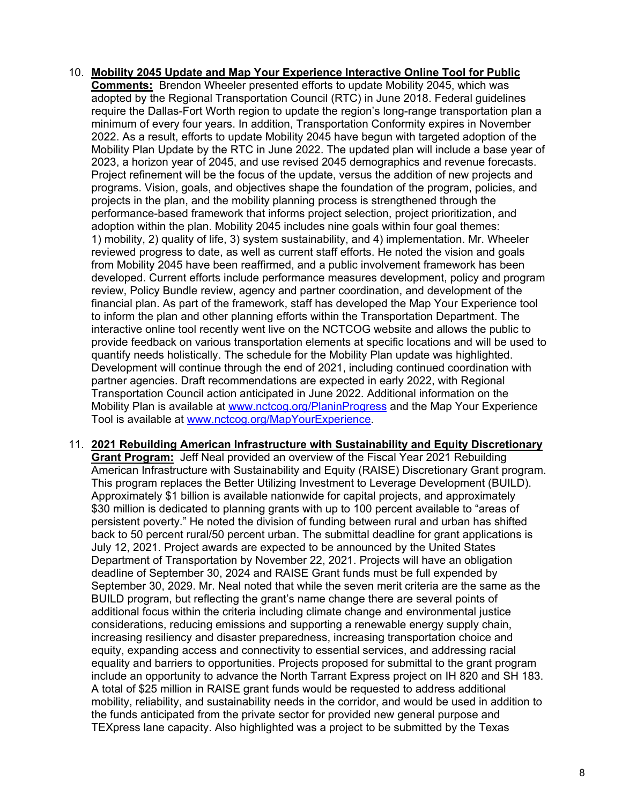- 10. **Mobility 2045 Update and Map Your Experience Interactive Online Tool for Public Comments:** Brendon Wheeler presented efforts to update Mobility 2045, which was adopted by the Regional Transportation Council (RTC) in June 2018. Federal guidelines require the Dallas-Fort Worth region to update the region's long-range transportation plan a minimum of every four years. In addition, Transportation Conformity expires in November 2022. As a result, efforts to update Mobility 2045 have begun with targeted adoption of the Mobility Plan Update by the RTC in June 2022. The updated plan will include a base year of 2023, a horizon year of 2045, and use revised 2045 demographics and revenue forecasts. Project refinement will be the focus of the update, versus the addition of new projects and programs. Vision, goals, and objectives shape the foundation of the program, policies, and projects in the plan, and the mobility planning process is strengthened through the performance-based framework that informs project selection, project prioritization, and adoption within the plan. Mobility 2045 includes nine goals within four goal themes: 1) mobility, 2) quality of life, 3) system sustainability, and 4) implementation. Mr. Wheeler reviewed progress to date, as well as current staff efforts. He noted the vision and goals from Mobility 2045 have been reaffirmed, and a public involvement framework has been developed. Current efforts include performance measures development, policy and program review, Policy Bundle review, agency and partner coordination, and development of the financial plan. As part of the framework, staff has developed the Map Your Experience tool to inform the plan and other planning efforts within the Transportation Department. The interactive online tool recently went live on the NCTCOG website and allows the public to provide feedback on various transportation elements at specific locations and will be used to quantify needs holistically. The schedule for the Mobility Plan update was highlighted. Development will continue through the end of 2021, including continued coordination with partner agencies. Draft recommendations are expected in early 2022, with Regional Transportation Council action anticipated in June 2022. Additional information on the Mobility Plan is available at [www.nctcog.org/PlaninProgress](http://www.nctcog.org/PlaninProgress) and the Map Your Experience Tool is available at [www.nctcog.org/MapYourExperience.](http://www.nctcog.org/MapYourExperience)
- 11. **2021 Rebuilding American Infrastructure with Sustainability and Equity Discretionary Grant Program:** Jeff Neal provided an overview of the Fiscal Year 2021 Rebuilding American Infrastructure with Sustainability and Equity (RAISE) Discretionary Grant program. This program replaces the Better Utilizing Investment to Leverage Development (BUILD). Approximately \$1 billion is available nationwide for capital projects, and approximately \$30 million is dedicated to planning grants with up to 100 percent available to "areas of persistent poverty." He noted the division of funding between rural and urban has shifted back to 50 percent rural/50 percent urban. The submittal deadline for grant applications is July 12, 2021. Project awards are expected to be announced by the United States Department of Transportation by November 22, 2021. Projects will have an obligation deadline of September 30, 2024 and RAISE Grant funds must be full expended by September 30, 2029. Mr. Neal noted that while the seven merit criteria are the same as the BUILD program, but reflecting the grant's name change there are several points of additional focus within the criteria including climate change and environmental justice considerations, reducing emissions and supporting a renewable energy supply chain, increasing resiliency and disaster preparedness, increasing transportation choice and equity, expanding access and connectivity to essential services, and addressing racial equality and barriers to opportunities. Projects proposed for submittal to the grant program include an opportunity to advance the North Tarrant Express project on IH 820 and SH 183. A total of \$25 million in RAISE grant funds would be requested to address additional mobility, reliability, and sustainability needs in the corridor, and would be used in addition to the funds anticipated from the private sector for provided new general purpose and TEXpress lane capacity. Also highlighted was a project to be submitted by the Texas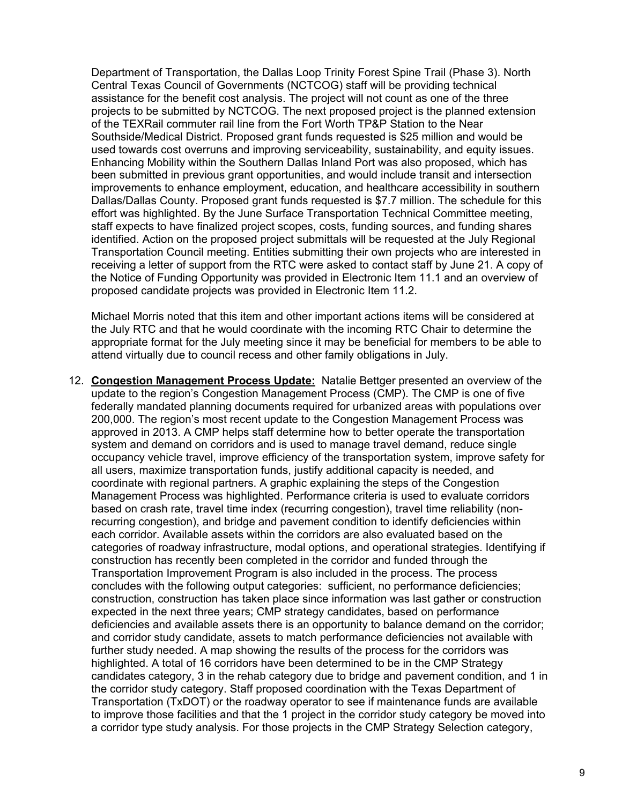Department of Transportation, the Dallas Loop Trinity Forest Spine Trail (Phase 3). North Central Texas Council of Governments (NCTCOG) staff will be providing technical assistance for the benefit cost analysis. The project will not count as one of the three projects to be submitted by NCTCOG. The next proposed project is the planned extension of the TEXRail commuter rail line from the Fort Worth TP&P Station to the Near Southside/Medical District. Proposed grant funds requested is \$25 million and would be used towards cost overruns and improving serviceability, sustainability, and equity issues. Enhancing Mobility within the Southern Dallas Inland Port was also proposed, which has been submitted in previous grant opportunities, and would include transit and intersection improvements to enhance employment, education, and healthcare accessibility in southern Dallas/Dallas County. Proposed grant funds requested is \$7.7 million. The schedule for this effort was highlighted. By the June Surface Transportation Technical Committee meeting, staff expects to have finalized project scopes, costs, funding sources, and funding shares identified. Action on the proposed project submittals will be requested at the July Regional Transportation Council meeting. Entities submitting their own projects who are interested in receiving a letter of support from the RTC were asked to contact staff by June 21. A copy of the Notice of Funding Opportunity was provided in Electronic Item 11.1 and an overview of proposed candidate projects was provided in Electronic Item 11.2.

Michael Morris noted that this item and other important actions items will be considered at the July RTC and that he would coordinate with the incoming RTC Chair to determine the appropriate format for the July meeting since it may be beneficial for members to be able to attend virtually due to council recess and other family obligations in July.

12. **Congestion Management Process Update:** Natalie Bettger presented an overview of the update to the region's Congestion Management Process (CMP). The CMP is one of five federally mandated planning documents required for urbanized areas with populations over 200,000. The region's most recent update to the Congestion Management Process was approved in 2013. A CMP helps staff determine how to better operate the transportation system and demand on corridors and is used to manage travel demand, reduce single occupancy vehicle travel, improve efficiency of the transportation system, improve safety for all users, maximize transportation funds, justify additional capacity is needed, and coordinate with regional partners. A graphic explaining the steps of the Congestion Management Process was highlighted. Performance criteria is used to evaluate corridors based on crash rate, travel time index (recurring congestion), travel time reliability (nonrecurring congestion), and bridge and pavement condition to identify deficiencies within each corridor. Available assets within the corridors are also evaluated based on the categories of roadway infrastructure, modal options, and operational strategies. Identifying if construction has recently been completed in the corridor and funded through the Transportation Improvement Program is also included in the process. The process concludes with the following output categories: sufficient, no performance deficiencies; construction, construction has taken place since information was last gather or construction expected in the next three years; CMP strategy candidates, based on performance deficiencies and available assets there is an opportunity to balance demand on the corridor; and corridor study candidate, assets to match performance deficiencies not available with further study needed. A map showing the results of the process for the corridors was highlighted. A total of 16 corridors have been determined to be in the CMP Strategy candidates category, 3 in the rehab category due to bridge and pavement condition, and 1 in the corridor study category. Staff proposed coordination with the Texas Department of Transportation (TxDOT) or the roadway operator to see if maintenance funds are available to improve those facilities and that the 1 project in the corridor study category be moved into a corridor type study analysis. For those projects in the CMP Strategy Selection category,